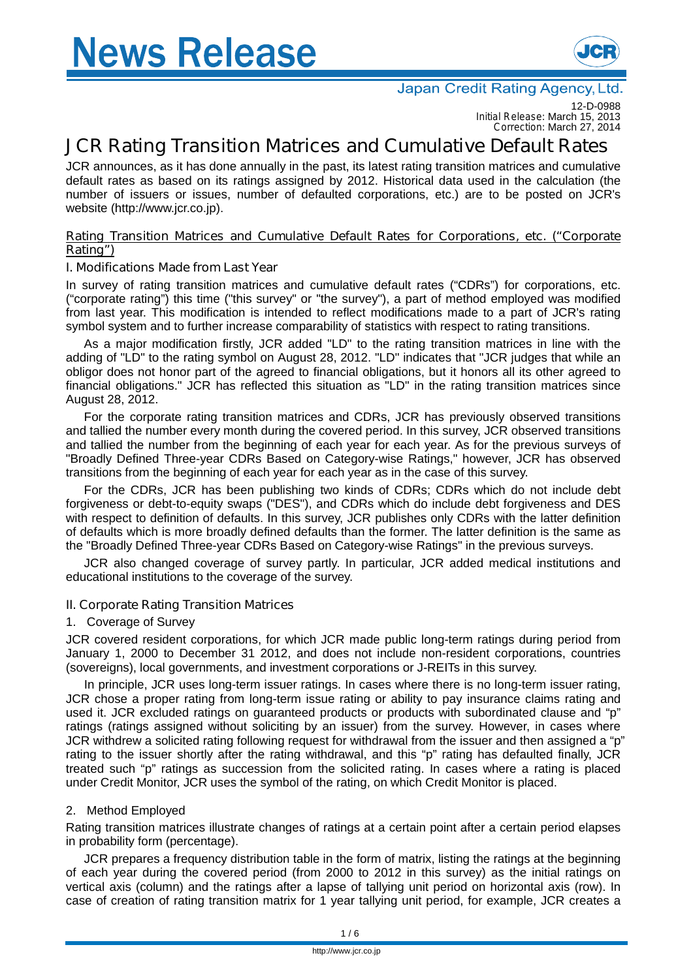

12-D-0988 *Initial Release:* March 15, 2013 *Correction:* March 27, 2014

# **JCR Rating Transition Matrices and Cumulative Default Rates**

JCR announces, as it has done annually in the past, its latest rating transition matrices and cumulative default rates as based on its ratings assigned by 2012. Historical data used in the calculation (the number of issuers or issues, number of defaulted corporations, etc.) are to be posted on JCR's website (http://www.jcr.co.jp).

### **Rating Transition Matrices and Cumulative Default Rates for Corporations, etc. ("Corporate Rating")**

# **I. Modifications Made from Last Year**

In survey of rating transition matrices and cumulative default rates ("CDRs") for corporations, etc. ("corporate rating") this time ("this survey" or "the survey"), a part of method employed was modified from last year. This modification is intended to reflect modifications made to a part of JCR's rating symbol system and to further increase comparability of statistics with respect to rating transitions.

As a major modification firstly, JCR added "LD" to the rating transition matrices in line with the adding of "LD" to the rating symbol on August 28, 2012. "LD" indicates that "JCR judges that while an obligor does not honor part of the agreed to financial obligations, but it honors all its other agreed to financial obligations." JCR has reflected this situation as "LD" in the rating transition matrices since August 28, 2012.

For the corporate rating transition matrices and CDRs, JCR has previously observed transitions and tallied the number every month during the covered period. In this survey, JCR observed transitions and tallied the number from the beginning of each year for each year. As for the previous surveys of "Broadly Defined Three-year CDRs Based on Category-wise Ratings," however, JCR has observed transitions from the beginning of each year for each year as in the case of this survey.

For the CDRs, JCR has been publishing two kinds of CDRs; CDRs which do not include debt forgiveness or debt-to-equity swaps ("DES"), and CDRs which do include debt forgiveness and DES with respect to definition of defaults. In this survey, JCR publishes only CDRs with the latter definition of defaults which is more broadly defined defaults than the former. The latter definition is the same as the "Broadly Defined Three-year CDRs Based on Category-wise Ratings" in the previous surveys.

JCR also changed coverage of survey partly. In particular, JCR added medical institutions and educational institutions to the coverage of the survey.

## **II. Corporate Rating Transition Matrices**

## 1. Coverage of Survey

JCR covered resident corporations, for which JCR made public long-term ratings during period from January 1, 2000 to December 31 2012, and does not include non-resident corporations, countries (sovereigns), local governments, and investment corporations or J-REITs in this survey.

In principle, JCR uses long-term issuer ratings. In cases where there is no long-term issuer rating, JCR chose a proper rating from long-term issue rating or ability to pay insurance claims rating and used it. JCR excluded ratings on guaranteed products or products with subordinated clause and "p" ratings (ratings assigned without soliciting by an issuer) from the survey. However, in cases where JCR withdrew a solicited rating following request for withdrawal from the issuer and then assigned a "p" rating to the issuer shortly after the rating withdrawal, and this "p" rating has defaulted finally, JCR treated such "p" ratings as succession from the solicited rating. In cases where a rating is placed under Credit Monitor, JCR uses the symbol of the rating, on which Credit Monitor is placed.

## 2. Method Employed

Rating transition matrices illustrate changes of ratings at a certain point after a certain period elapses in probability form (percentage).

JCR prepares a frequency distribution table in the form of matrix, listing the ratings at the beginning of each year during the covered period (from 2000 to 2012 in this survey) as the initial ratings on vertical axis (column) and the ratings after a lapse of tallying unit period on horizontal axis (row). In case of creation of rating transition matrix for 1 year tallying unit period, for example, JCR creates a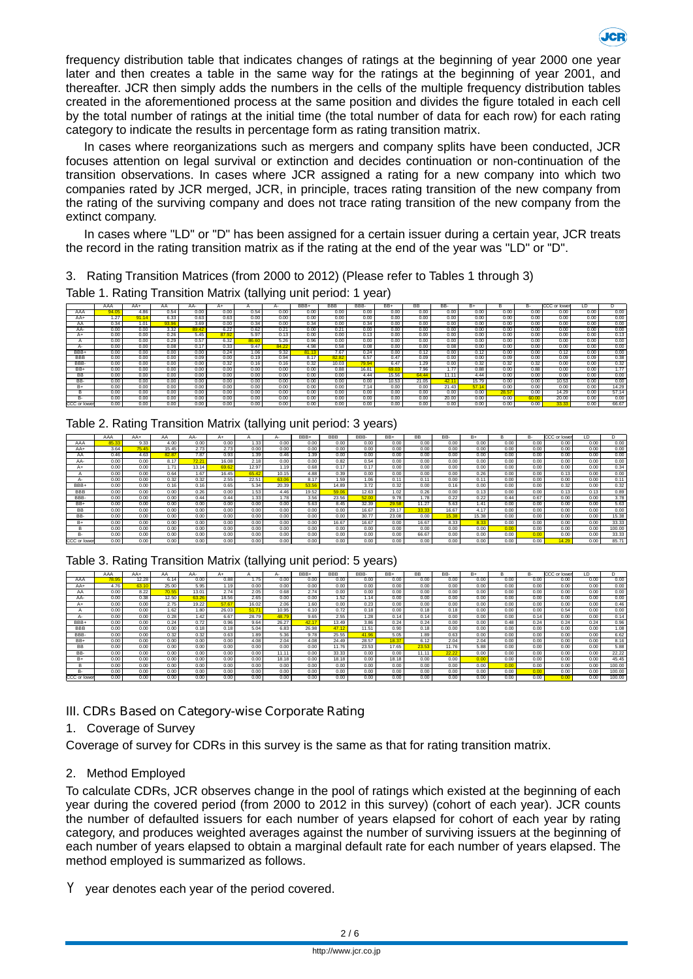

frequency distribution table that indicates changes of ratings at the beginning of year 2000 one year later and then creates a table in the same way for the ratings at the beginning of year 2001, and thereafter. JCR then simply adds the numbers in the cells of the multiple frequency distribution tables created in the aforementioned process at the same position and divides the figure totaled in each cell by the total number of ratings at the initial time (the total number of data for each row) for each rating category to indicate the results in percentage form as rating transition matrix.

In cases where reorganizations such as mergers and company splits have been conducted, JCR focuses attention on legal survival or extinction and decides continuation or non-continuation of the transition observations. In cases where JCR assigned a rating for a new company into which two companies rated by JCR merged, JCR, in principle, traces rating transition of the new company from the rating of the surviving company and does not trace rating transition of the new company from the extinct company.

In cases where "LD" or "D" has been assigned for a certain issuer during a certain year, JCR treats the record in the rating transition matrix as if the rating at the end of the year was "LD" or "D".

3. Rating Transition Matrices (from 2000 to 2012) (Please refer to Tables 1 through 3)

Table 1. Rating Transition Matrix (tallying unit period: 1 year)

|             | AAA  | AA+   | AA    | AA-   | $A+$  |       | А-    | BBB+                 | <b>BBB</b> | BBB-  | BB+   | <b>BB</b> | BB-            | $B+$  |      | в-    | <b>CCC</b> or lower | LD   |       |
|-------------|------|-------|-------|-------|-------|-------|-------|----------------------|------------|-------|-------|-----------|----------------|-------|------|-------|---------------------|------|-------|
| AAA         | 94.0 | 4.86  | 0.54  | 0.00  | 0.00  | 0.54  | 0.00  | 0.00                 | 0.00       | 0.00  | 0.00  | 0.00      | 0.00           | 0.00  | 0.00 | 0.00  | 0.00                | 0.00 | 0.00  |
| $AA+$       | 1.27 | 91.14 | 6.33  | 0.63  | 0.63  | 0.00  | 0.00  | 0.00                 | 0.00       | 0.00  | 0.00  | 0.00      | 0.00           | 0.00  | 0.00 | 0.00  | 0.00                | 0.00 | 0.00  |
| AA          | 0.34 | 1.01  | 93.96 | 3.69  | 0.00  | 0.34  | 0.00  | 0.34                 | 0.00       | 0.34  | 0.00  | 0.00      | 0.00           | 0.00  | 0.00 | 0.00  | 0.00                | 0.00 | 0.00  |
| AA-         | 0.00 | 0.00  | 3.32  | 89.42 | 6.22  | 0.62  | 0.21  | 0.00                 | 0.21       | 0.00  | 0.00  | 0.00      | 0.00           | 0.00  | 0.00 | 0.00  | 0.00                | 0.00 | 0.00  |
| $_{H+}$     | 0.00 | 0.00  | 0.26  | 5.45  | 87.92 | 5.97  | 0.13  | 0.00                 | 0.00       | 0.13  | 0.00  | 0.00      | 0.00           | 0.00  | 0.00 | 0.00  | 0.00                | 0.00 | 0.13  |
|             | 0.00 | 0.00  | 0.29  | 0.57  | 6.32  | 86.60 | 5.26  | 0.96                 | 0.00       | 0.00  | 0.00  | 0.00      | 0.00           | 0.00  | 0.00 | 0.00  | 0.00                | 0.00 | 0.00  |
|             | 0.00 | 0.00  | 0.08  | 0.17  | 0.33  | 9.47  | 84.22 | 4.98                 | 0.58       | 0.08  | 0.00  | 0.00      | 0.08           | 0.00  | 0.00 | 0.00  | 0.00                | 0.00 | 0.00  |
| BBB+        | 0.00 | 0.00  | 0.00  | 0.00  | 0.24  | 1.06  | 9.32  | <b>CALLAS</b><br>01. | 7.67       | 0.24  | 0.00  | 0.12      | 0.00           | 0.12  | 0.00 | 0.00  | 0.12                | 0.00 | 0.00  |
| <b>BBB</b>  | 0.00 | 0.00  | 0.00  | 0.09  | 0.00  | 0.19  | 0.94  | 8.17                 | 82.82      | 6.57  | 0.47  | 0.09      | 0.00           | 0.00  | 0.09 | 0.00  | 0.09                | 0.09 | 0.38  |
| BBB-        | 0.00 | 0.00  | 0.00  | 0.00  | 0.32  | 0.16  | 0.16  | 0.32                 | 10.03      | 79.94 | 6.47  | 1.29      | 0.00           | 0.32  | 0.32 | 0.32  | 0.00                | 0.00 | 0.32  |
| BB+         | 0.00 | 0.00  | 0.00  | 0.00  | 0.00  | 0.00  | 0.00  | 0.00                 | 0.88       | 16.81 | 69.03 | 7.96      | 1.77           | 0.88  | 0.00 | 0.88  | 0.00                | 0.00 | 1.77  |
| ВB          | 0.00 | 0.00  | 0.00  | 0.00  | 0.00  | 0.00  | 0.00  | 0.00                 | 0.00       | 4.44  | 15.56 | 64.44     | $11.1^{\circ}$ | 4.44  | 0.00 | 0.00  | 0.00                | 0.00 | 0.00  |
| BB-         | 0.00 | 0.00  | 0.00  | 0.00  | 0.00  | 0.00  | 0.00  | 0.00                 | 0.00       | 0.00  | 10.53 | 21.05     | 42.1           | 15.79 | 0.00 | 0.00  | 10.53               | 0.00 | 0.00  |
| B+          | 0.00 | 0.00  | 0.00  | 0.00  | 0.00  | 0.00  | 0.00  | 0.00                 | 0.00       | 7.14  | 0.00  | 0.00      | 21.43          | 57.14 | 0.00 | 0.00  | 0.00                | 0.00 | 14.29 |
|             | 0.00 | 0.00  | 0.00  | 0.00  | 0.00  | 0.00  | 0.00  | 0.00                 | 0.00       | 0.00  | 0.00  | 0.00      | 0.00           | 0.00  | 28.5 | 0.00  | 14.29               | 0.00 | 57.14 |
| к.          | 0.00 | 0.00  | 0.00  | 0.00  | 0.00  | 0.00  | 0.00  | 0.00                 | 0.00       | 0.00  | 0.00  | 0.00      | 20.00          | 0.00  | 0.00 | 60.00 | 20.00               | 0.00 | 0.00  |
| CCC or lowe | 0.00 | 0.00  | 0.00  | 0.00  | 0.00  | 0.00  | 0.00  | 0.00                 | 0.00       | 0.00  | 0.00  | 0.00      | 0.00           | 0.00  | 0.00 | 0.00  | 33.33               | 0.00 | 66.67 |

Table 2. Rating Transition Matrix (tallying unit period: 3 years)

|              | AAA  | $AA+$ | AА    | AA-   | A+    |       | д.    | BBB+  | <b>BBB</b> | BBB-  | $BB+$ | <b>BB</b> | BB-   | B+    |      | B-   | CCC or lower | ID.  |        |
|--------------|------|-------|-------|-------|-------|-------|-------|-------|------------|-------|-------|-----------|-------|-------|------|------|--------------|------|--------|
| AAA          | 85.3 | 9.33  | 4.00  | 0.00  | 0.00  | 1.33  | 0.00  | 0.00  | 0.00       | 0.00  | 0.00  | 0.00      | 0.00  | 0.00  | 0.00 | 0.00 | 0.00         | 0.00 | 0.00   |
| AA+          | 3.64 | 75.45 | 15.45 | 2.73  | 2.73  | 0.00  | 0.00  | 0.00  | 0.00       | 0.00  | 0.00  | 0.00      | 0.00  | 0.00  | 0.00 | 0.00 | 0.00         | 0.00 | 0.00   |
| AA           | 0.46 | 4.63  | 82.87 | 7.87  | 0.93  | 1.39  | 0.46  | 1.39  | 0.00       | 0.00  | 0.00  | 0.00      | 0.00  | 0.00  | 0.00 | 0.00 | 0.00         | 0.00 | 0.00   |
| AA-          | 0.00 | 0.00  | 8.17  | 72.21 | 16.08 | 2.18  | 0.00  | 0.00  | 0.82       | 0.54  | 0.00  | 0.00      | 0.00  | 0.00  | 0.00 | 0.00 | 0.00         | 0.00 | 0.00   |
| A+           | 0.00 | 0.00  | 1.71  | 13.14 | 69.62 | 12.97 | 1.19  | 0.68  | 0.17       | 0.17  | 0.00  | 0.00      | 0.00  | 0.00  | 0.00 | 0.00 | 0.00         | 0.00 | 0.34   |
|              | 0.00 | 0.00  | 0.64  | 1.67  | 16.45 | 65.42 | 10.15 | 4.88  | 0.39       | 0.00  | 0.00  | 0.00      | 0.00  | 0.26  | 0.00 | 0.00 | 0.13         | 0.00 | 0.00   |
|              | 0.00 | 0.00  | 0.32  | 0.32  | 2.55  | 22.51 | 63.06 | 8.17  | 1.59       | 1.06  | 0.11  | 0.11      | 0.00  | 0.11  | 0.00 | 0.00 | 0.00         | 0.00 | 0.11   |
| BBB+         | 0.00 | 0.00  | 0.16  | 0.16  | 0.65  | 5.34  | 20.39 | 53.56 | 14.89      | 3.72  | 0.32  | 0.00      | 0.16  | 0.00  | 0.00 | 0.00 | 0.32         | 0.00 | 0.32   |
| <b>BBB</b>   | 0.00 | 0.00  | 0.00  | 0.26  | 0.00  | 1.53  | 4.46  | 19.52 | 59.06      | 12.63 | 1.02  | 0.26      | 0.00  | 0.13  | 0.00 | 0.00 | 0.13         | 0.13 | 0.89   |
| BBB-         | 0.00 | 0.00  | 0.00  | 0.44  | 0.44  | 1.33  | 1.78  | 3.56  | 23.56      | 52.00 | 9.78  | 1.78      | 0.22  | 0.22  | 0.44 | 0.67 | 0.00         | 0.00 | 3.78   |
| BB+          | 0.00 | 0.00  | 0.00  | 0.00  | 0.00  | 0.00  | 0.00  | 5.63  | 8.45       | 32.39 | 29.58 | 11.27     | 5.63  | 1.41  | 0.00 | 0.00 | 0.00         | 0.00 | 5.63   |
| <b>BB</b>    | 0.00 | 0.00  | 0.00  | 0.00  | 0.00  | 0.00  | 0.00  | 0.00  | 0.00       | 16.67 | 29.17 | 33.33     | 16.67 | 4.17  | 0.00 | 0.00 | 0.00         | 0.00 | 0.00   |
| BB-          | 0.00 | 0.00  | 0.00  | 0.00  | 0.00  | 0.00  | 0.00  | 0.00  | 0.00       | 30.77 | 23.08 | 0.00      | 15.38 | 15.38 | 0.00 | 0.00 | 0.00         | 0.00 | 15.38  |
| B+           | 0.00 | 0.00  | 0.00  | 0.00  | 0.00  | 0.00  | 0.00  | 0.00  | 16.67      | 16.67 | 0.00  | 16.67     | 8.33  | 8.33  | 0.00 | 0.00 | 0.00         | 0.00 | 33.33  |
| B            | 0.00 | 0.00  | 0.00  | 0.00  | 0.00  | 0.00  | 0.00  | 0.00  | 0.00       | 0.00  | 0.00  | 0.00      | 0.00  | 0.00  | 0.00 | 0.00 | 0.00         | 0.00 | 100.00 |
| B-           | 0.00 | 0.00  | 0.00  | 0.00  | 0.00  | 0.00  | 0.00  | 0.00  | 0.00       | 0.00  | 0.00  | 66.67     | 0.00  | 0.00  | 0.00 | 0.00 | 0.00         | 0.00 | 33.33  |
| CCC or lower | 0.00 | 0.00  | 0.00  | 0.00  | 0.00  | 0.00  | 0.00  | 0.00  | 0.00       | 0.00  | 0.00  | 0.00      | 0.00  | 0.00  | 0.00 | 0.00 | 14.29        | 0.00 | 85.71  |

Table 3. Rating Transition Matrix (tallying unit period: 5 years)

|              | AAA   | $AA+$ | AA    | AA-   | A+    |       | $A-$  | BBB+  | <b>BBB</b> | BBB-  | BB+   | <b>BB</b> | BB-   | $B+$ |      | B-   | CCC or lower | ID.  |        |
|--------------|-------|-------|-------|-------|-------|-------|-------|-------|------------|-------|-------|-----------|-------|------|------|------|--------------|------|--------|
| AAA          | 78.95 | 12.28 | 6.14  | 0.00  | 0.88  | 1.75  | 0.00  | 0.00  | 0.00       | 0.00  | 0.00  | 0.00      | 0.00  | 0.00 | 0.00 | 0.00 | 0.00         | 0.00 | 0.00   |
| AA+          | 4.76  | 63.10 | 25.00 | 5.95  | 1.19  | 0.00  | 0.00  | 0.00  | 0.00       | 0.00  | 0.00  | 0.00      | 0.00  | 0.00 | 0.00 | 0.00 | 0.00         | 0.00 | 0.00   |
| AA           | 0.00  | 8.22  | 70.55 | 13.01 | 2.74  | 2.05  | 0.68  | 2.74  | 0.00       | 0.00  | 0.00  | 0.00      | 0.00  | 0.00 | 0.00 | 0.00 | 0.00         | 0.00 | 0.00   |
| AA-          | 0.00  | 0.38  | 12.50 | 63.26 | 18.56 | 2.65  | 0.00  | 0.00  | 1.52       | 1.14  | 0.00  | 0.00      | 0.00  | 0.00 | 0.00 | 0.00 | 0.00         | 0.00 | 0.00   |
| A+           | 0.00  | 0.00  | 2.75  | 19.22 | 57.67 | 16.02 | 2.06  | 1.60  | 0.00       | 0.23  | 0.00  | 0.00      | 0.00  | 0.00 | 0.00 | 0.00 | 0.00         | 0.00 | 0.46   |
|              | 0.00  | 0.00  | 1.62  | 1.80  | 26.03 | 51.71 | 10.95 | 6.10  | 0.72       | 0.18  | 0.00  | 0.18      | 0.18  | 0.00 | 0.00 | 0.00 | 0.54         | 0.00 | 0.00   |
| А-           | 0.00  | 0.00  | 0.28  | 1.42  | 6.67  | 28.79 | 48.79 | 9.65  | 2.55       | 1.28  | 0.14  | 0.14      | 0.00  | 0.00 | 0.00 | 0.14 | 0.00         | 0.00 | 0.14   |
| BBB+         | 0.00  | 0.00  | 0.24  | 0.72  | 0.96  | 9.64  | 26.27 | 42.17 | 13.49      | 3.86  | 0.24  | 0.24      | 0.00  | 0.00 | 0.48 | 0.24 | 0.24         | 0.24 | 0.96   |
| <b>BBB</b>   | 0.00  | 0.00  | 0.00  | 0.18  | 0.18  | 5.04  | 6.83  | 26.98 | 47.12      | 11.51 | 0.90  | 0.18      | 0.00  | 0.00 | 0.00 | 0.00 | 0.00         | 0.00 | 1.08   |
| BBB-         | 0.00  | 0.00  | 0.32  | 0.32  | 0.63  | 1.89  | 5.36  | 9.78  | 25.55      | 41.96 | 5.05  | 1.89      | 0.63  | 0.00 | 0.00 | 0.00 | 0.00         | 0.00 | 6.62   |
| BB+          | 0.00  | 0.00  | 0.00  | 0.00  | 0.00  | 4.08  | 2.04  | 4.08  | 24.49      | 28.57 | 18.37 | 6.12      | 2.04  | 2.04 | 0.00 | 0.00 | 0.00         | 0.00 | 8.16   |
| BB           | 0.00  | 0.00  | 0.00  | 0.00  | 0.00  | 0.00  | 0.00  | 0.00  | 11.76      | 23.53 | 17.65 | 23.53     | 11.76 | 5.88 | 0.00 | 0.00 | 0.00         | 0.00 | 5.88   |
| BB-          | 0.00  | 0.00  | 0.00  | 0.00  | 0.00  | 0.00  | 11.11 | 0.00  | 33.33      | 0.00  | 0.00  | 11.11     | 22.22 | 0.00 | 0.00 | 0.00 | 0.00         | 0.00 | 22.22  |
| B+           | 0.00  | 0.00  | 0.00  | 0.00  | 0.00  | 0.00  | 18.18 | 0.00  | 18.18      | 0.00  | 18.18 | 0.00      | 0.00  | 0.00 | 0.00 | 0.00 | 0.00         | 0.00 | 45.45  |
|              | 0.00  | 0.00  | 0.00  | 0.00  | 0.00  | 0.00  | 0.00  | 0.00  | 0.00       | 0.00  | 0.00  | 0.00      | 0.00  | 0.00 | 0.00 | 0.00 | 0.00         | 0.00 | 100.00 |
| B-           | 0.00  | 0.00  | 0.00  | 0.00  | 0.00  | 0.00  | 0.00  | 0.00  | 0.00       | 0.00  | 0.00  | 0.00      | 0.00  | 0.00 | 0.00 | 0.00 | 0.00         | 0.00 | 100.00 |
| CCC or lower | 0.00  | 0.00  | 0.00  | 0.00  | 0.00  | 0.00  | 0.00  | 0.00  | 0.00       | 0.00  | 0.00  | 0.00      | 0.00  | 0.00 | 0.00 | 0.00 | 0.00         | 0.00 | 100.00 |

# **III. CDRs Based on Category-wise Corporate Rating**

# 1. Coverage of Survey

Coverage of survey for CDRs in this survey is the same as that for rating transition matrix.

# 2. Method Employed

To calculate CDRs, JCR observes change in the pool of ratings which existed at the beginning of each year during the covered period (from 2000 to 2012 in this survey) (cohort of each year). JCR counts the number of defaulted issuers for each number of years elapsed for cohort of each year by rating category, and produces weighted averages against the number of surviving issuers at the beginning of each number of years elapsed to obtain a marginal default rate for each number of years elapsed. The method employed is summarized as follows.

*Y* year denotes each year of the period covered.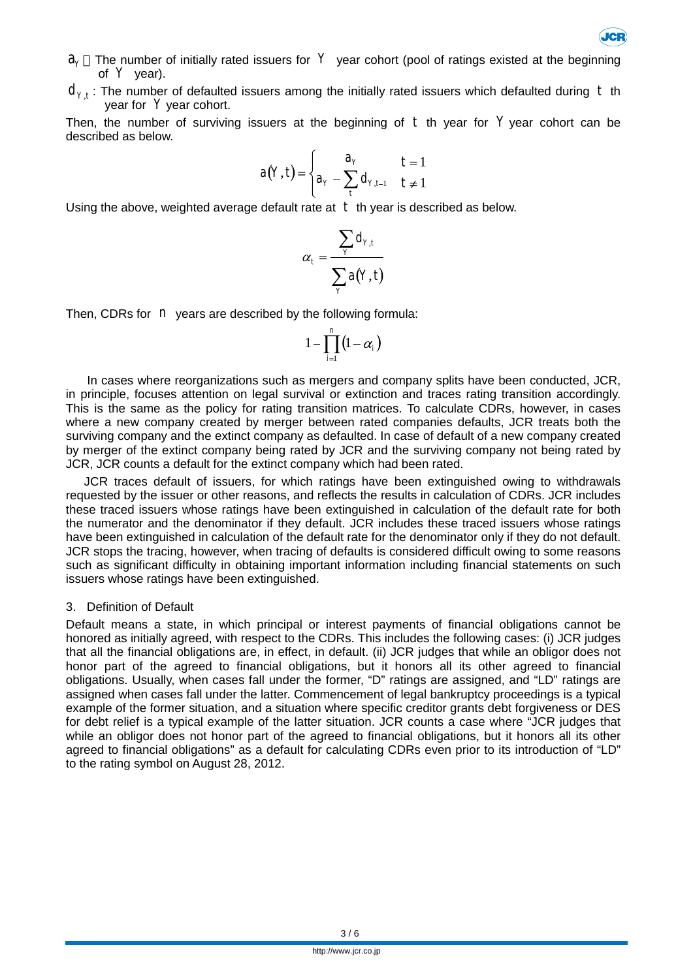

- $a<sub>y</sub>$  The number of initially rated issuers for  $Y$  year cohort (pool of ratings existed at the beginning of  $Y$  year).
- $d_{Y,t}$ : The number of defaulted issuers among the initially rated issuers which defaulted during t th year for Y year cohort.

Then, the number of surviving issuers at the beginning of  $t$  th year for  $Y$  year cohort can be described as below.

$$
a(Y,t) = \begin{cases} a_Y & t = 1 \\ a_Y - \sum_t d_{Y,t-1} & t \neq 1 \end{cases}
$$

Using the above, weighted average default rate at  $t$  th year is described as below.

$$
\alpha_t = \frac{\sum_{Y} d_{Y,t}}{\sum_{Y} a(Y,t)}
$$

Then, CDRs for *n* years are described by the following formula:

$$
1-\prod_{i=1}^n \bigl(1-\alpha_i\bigr)
$$

In cases where reorganizations such as mergers and company splits have been conducted, JCR, in principle, focuses attention on legal survival or extinction and traces rating transition accordingly. This is the same as the policy for rating transition matrices. To calculate CDRs, however, in cases where a new company created by merger between rated companies defaults, JCR treats both the surviving company and the extinct company as defaulted. In case of default of a new company created by merger of the extinct company being rated by JCR and the surviving company not being rated by JCR, JCR counts a default for the extinct company which had been rated.

JCR traces default of issuers, for which ratings have been extinguished owing to withdrawals requested by the issuer or other reasons, and reflects the results in calculation of CDRs. JCR includes these traced issuers whose ratings have been extinguished in calculation of the default rate for both the numerator and the denominator if they default. JCR includes these traced issuers whose ratings have been extinguished in calculation of the default rate for the denominator only if they do not default. JCR stops the tracing, however, when tracing of defaults is considered difficult owing to some reasons such as significant difficulty in obtaining important information including financial statements on such issuers whose ratings have been extinguished.

#### 3. Definition of Default

Default means a state, in which principal or interest payments of financial obligations cannot be honored as initially agreed, with respect to the CDRs. This includes the following cases: (i) JCR judges that all the financial obligations are, in effect, in default. (ii) JCR judges that while an obligor does not honor part of the agreed to financial obligations, but it honors all its other agreed to financial obligations. Usually, when cases fall under the former, "D" ratings are assigned, and "LD" ratings are assigned when cases fall under the latter. Commencement of legal bankruptcy proceedings is a typical example of the former situation, and a situation where specific creditor grants debt forgiveness or DES for debt relief is a typical example of the latter situation. JCR counts a case where "JCR judges that while an obligor does not honor part of the agreed to financial obligations, but it honors all its other agreed to financial obligations" as a default for calculating CDRs even prior to its introduction of "LD" to the rating symbol on August 28, 2012.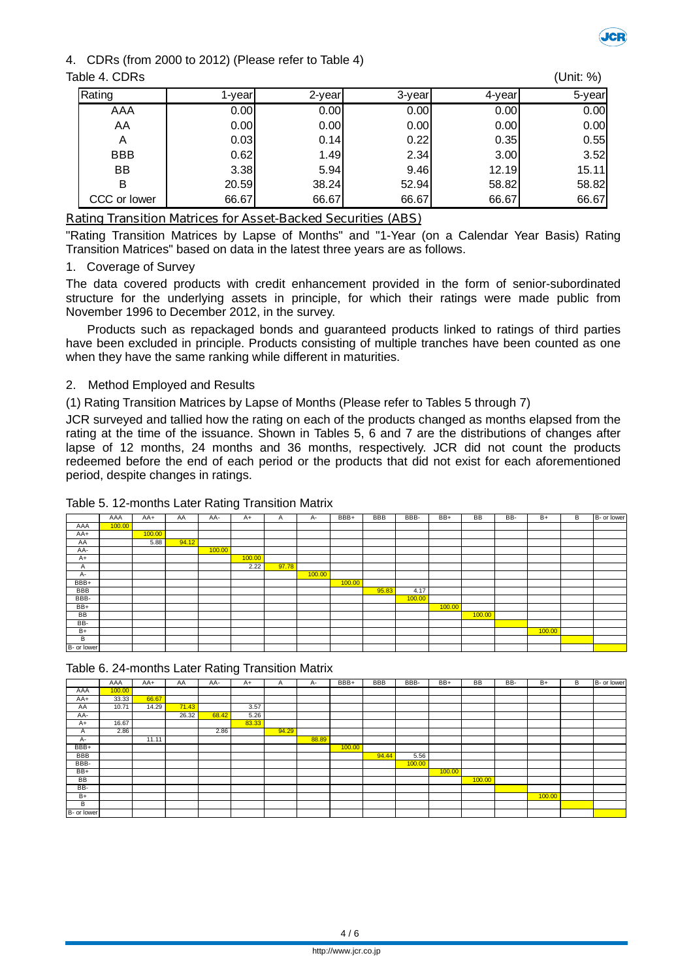

# 4. CDRs (from 2000 to 2012) (Please refer to Table 4)

| Table 4. CDRs |         |        |        |        | (Unit: %) |
|---------------|---------|--------|--------|--------|-----------|
| Rating        | l-vearl | 2-year | 3-year | 4-year | 5-year    |
| AAA           | 0.00    | 0.00   | 0.00   | 0.00   | 0.00      |
| AA            | 0.00    | 0.00   | 0.00   | 0.00   | 0.00      |
| A             | 0.03    | 0.14   | 0.22   | 0.35   | 0.55      |
| <b>BBB</b>    | 0.62    | 1.49   | 2.34   | 3.00   | 3.52      |
| BB            | 3.38    | 5.94   | 9.46   | 12.19l | 15.11     |
| в             | 20.59   | 38.24  | 52.94  | 58.82  | 58.82     |
| CCC or lower  | 66.67   | 66.67  | 66.67  | 66.67  | 66.67     |

# **Rating Transition Matrices for Asset-Backed Securities (ABS)**

"Rating Transition Matrices by Lapse of Months" and "1-Year (on a Calendar Year Basis) Rating Transition Matrices" based on data in the latest three years are as follows.

## 1. Coverage of Survey

The data covered products with credit enhancement provided in the form of senior-subordinated structure for the underlying assets in principle, for which their ratings were made public from November 1996 to December 2012, in the survey.

Products such as repackaged bonds and guaranteed products linked to ratings of third parties have been excluded in principle. Products consisting of multiple tranches have been counted as one when they have the same ranking while different in maturities.

# 2. Method Employed and Results

(1) Rating Transition Matrices by Lapse of Months (Please refer to Tables 5 through 7)

JCR surveyed and tallied how the rating on each of the products changed as months elapsed from the rating at the time of the issuance. Shown in Tables 5, 6 and 7 are the distributions of changes after lapse of 12 months, 24 months and 36 months, respectively. JCR did not count the products redeemed before the end of each period or the products that did not exist for each aforementioned period, despite changes in ratings.

## Table 5. 12-months Later Rating Transition Matrix

|             | AAA    | $AA+$  | AA    | AA-    | $A+$   | A     | $A-$   | BBB+   | BBB   | BBB-   | BB+    | <b>BB</b> | BB- | $B+$   | В | B- or lower |
|-------------|--------|--------|-------|--------|--------|-------|--------|--------|-------|--------|--------|-----------|-----|--------|---|-------------|
| AAA         | 100.00 |        |       |        |        |       |        |        |       |        |        |           |     |        |   |             |
| AA+         |        | 100.00 |       |        |        |       |        |        |       |        |        |           |     |        |   |             |
| AA          |        | 5.88   | 94.12 |        |        |       |        |        |       |        |        |           |     |        |   |             |
| AA-         |        |        |       | 100.00 |        |       |        |        |       |        |        |           |     |        |   |             |
| $A+$        |        |        |       |        | 100.00 |       |        |        |       |        |        |           |     |        |   |             |
| A           |        |        |       |        | 2.22   | 97.78 |        |        |       |        |        |           |     |        |   |             |
| A-          |        |        |       |        |        |       | 100.00 |        |       |        |        |           |     |        |   |             |
| BBB+        |        |        |       |        |        |       |        | 100.00 |       |        |        |           |     |        |   |             |
| <b>BBB</b>  |        |        |       |        |        |       |        |        | 95.83 | 4.17   |        |           |     |        |   |             |
| BBB-        |        |        |       |        |        |       |        |        |       | 100.00 |        |           |     |        |   |             |
| BB+         |        |        |       |        |        |       |        |        |       |        | 100.00 |           |     |        |   |             |
| BB          |        |        |       |        |        |       |        |        |       |        |        | 100.00    |     |        |   |             |
| BB-         |        |        |       |        |        |       |        |        |       |        |        |           |     |        |   |             |
| $B+$        |        |        |       |        |        |       |        |        |       |        |        |           |     | 100.00 |   |             |
| B           |        |        |       |        |        |       |        |        |       |        |        |           |     |        |   |             |
| B- or lower |        |        |       |        |        |       |        |        |       |        |        |           |     |        |   |             |

Table 6. 24-months Later Rating Transition Matrix

|             | AAA    | AA+   | AA    | AA-   | A+    | A     | А-    | BBB+   | <b>BBB</b> | BBB-   | BB+    | <b>BB</b> | BB- | $B+$   | В | B- or lower |
|-------------|--------|-------|-------|-------|-------|-------|-------|--------|------------|--------|--------|-----------|-----|--------|---|-------------|
| AAA         | 100.00 |       |       |       |       |       |       |        |            |        |        |           |     |        |   |             |
| AA+         | 33.33  | 66.67 |       |       |       |       |       |        |            |        |        |           |     |        |   |             |
| AA          | 10.71  | 14.29 | 71.43 |       | 3.57  |       |       |        |            |        |        |           |     |        |   |             |
| AA-         |        |       | 26.32 | 68.42 | 5.26  |       |       |        |            |        |        |           |     |        |   |             |
| $A+$        | 16.67  |       |       |       | 83.33 |       |       |        |            |        |        |           |     |        |   |             |
| Α           | 2.86   |       |       | 2.86  |       | 94.29 |       |        |            |        |        |           |     |        |   |             |
| A-          |        | 11.11 |       |       |       |       | 88.89 |        |            |        |        |           |     |        |   |             |
| BBB+        |        |       |       |       |       |       |       | 100.00 |            |        |        |           |     |        |   |             |
| BBB         |        |       |       |       |       |       |       |        | 94.44      | 5.56   |        |           |     |        |   |             |
| BBB-        |        |       |       |       |       |       |       |        |            | 100.00 |        |           |     |        |   |             |
| BB+         |        |       |       |       |       |       |       |        |            |        | 100.00 |           |     |        |   |             |
| BB          |        |       |       |       |       |       |       |        |            |        |        | 100.00    |     |        |   |             |
| BB-         |        |       |       |       |       |       |       |        |            |        |        |           |     |        |   |             |
| $B+$        |        |       |       |       |       |       |       |        |            |        |        |           |     | 100.00 |   |             |
| В           |        |       |       |       |       |       |       |        |            |        |        |           |     |        |   |             |
| B- or lower |        |       |       |       |       |       |       |        |            |        |        |           |     |        |   |             |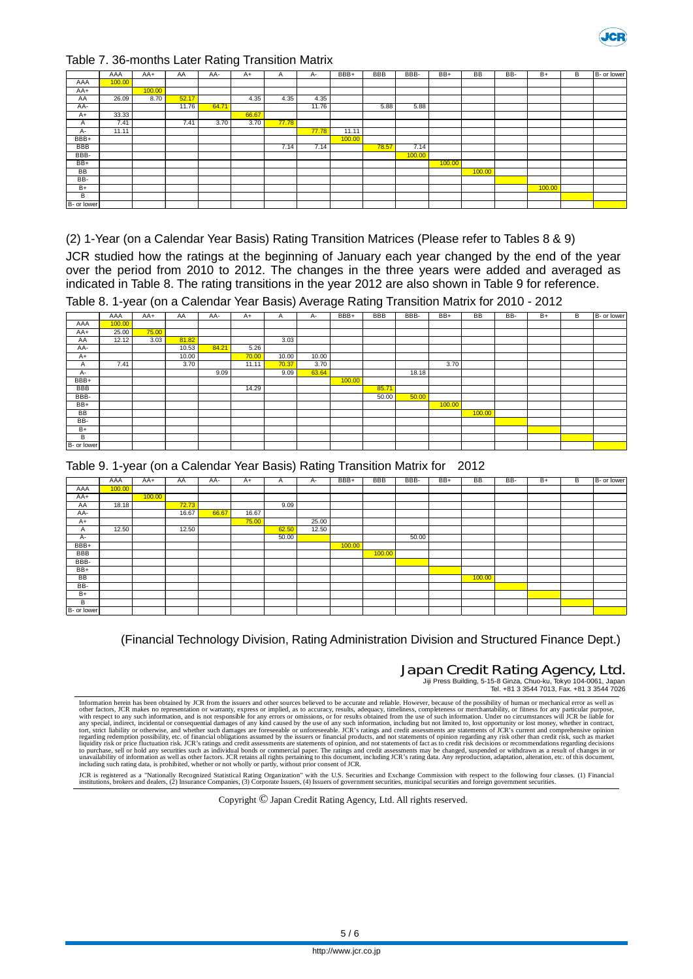

#### Table 7. 36-months Later Rating Transition Matrix

|             | AAA    | AA+    | AA    | AA-   | A+    | Α     | A-    | BBB+   | <b>BBB</b> | BBB-   | BB+    | <b>BB</b> | BB- | $B+$   | В | B- or lower |
|-------------|--------|--------|-------|-------|-------|-------|-------|--------|------------|--------|--------|-----------|-----|--------|---|-------------|
| AAA         | 100.00 |        |       |       |       |       |       |        |            |        |        |           |     |        |   |             |
| $AA+$       |        | 100.00 |       |       |       |       |       |        |            |        |        |           |     |        |   |             |
| AA          | 26.09  | 8.70   | 52.17 |       | 4.35  | 4.35  | 4.35  |        |            |        |        |           |     |        |   |             |
| AA-         |        |        | 11.76 | 64.71 |       |       | 11.76 |        | 5.88       | 5.88   |        |           |     |        |   |             |
| $A+$        | 33.33  |        |       |       | 66.67 |       |       |        |            |        |        |           |     |        |   |             |
| Α           | 7.41   |        | 7.41  | 3.70  | 3.70  | 77.78 |       |        |            |        |        |           |     |        |   |             |
| $A -$       | 11.11  |        |       |       |       |       | 77.78 | 11.11  |            |        |        |           |     |        |   |             |
| BBB+        |        |        |       |       |       |       |       | 100.00 |            |        |        |           |     |        |   |             |
| <b>BBB</b>  |        |        |       |       |       | 7.14  | 7.14  |        | 78.57      | 7.14   |        |           |     |        |   |             |
| BBB-        |        |        |       |       |       |       |       |        |            | 100.00 |        |           |     |        |   |             |
| BB+         |        |        |       |       |       |       |       |        |            |        | 100.00 |           |     |        |   |             |
| <b>BB</b>   |        |        |       |       |       |       |       |        |            |        |        | 100.00    |     |        |   |             |
| BB-         |        |        |       |       |       |       |       |        |            |        |        |           |     |        |   |             |
| $B+$        |        |        |       |       |       |       |       |        |            |        |        |           |     | 100.00 |   |             |
| B           |        |        |       |       |       |       |       |        |            |        |        |           |     |        |   |             |
| B- or lower |        |        |       |       |       |       |       |        |            |        |        |           |     |        |   |             |

(2) 1-Year (on a Calendar Year Basis) Rating Transition Matrices (Please refer to Tables 8 & 9)

JCR studied how the ratings at the beginning of January each year changed by the end of the year over the period from 2010 to 2012. The changes in the three years were added and averaged as indicated in Table 8. The rating transitions in the year 2012 are also shown in Table 9 for reference. Table 8. 1-year (on a Calendar Year Basis) Average Rating Transition Matrix for 2010 - 2012

|             |        | $\lambda$ |       |       |       |       |       | ັ      | ີ          |       |        |           |     |      |   |             |
|-------------|--------|-----------|-------|-------|-------|-------|-------|--------|------------|-------|--------|-----------|-----|------|---|-------------|
|             | AAA    | AA+       | AA    | AA-   | $A+$  | A     | А-    | BBB+   | <b>BBB</b> | BBB-  | BB+    | <b>BB</b> | BB- | $B+$ | В | B- or lower |
| AAA         | 100.00 |           |       |       |       |       |       |        |            |       |        |           |     |      |   |             |
| $AA+$       | 25.00  | 75.00     |       |       |       |       |       |        |            |       |        |           |     |      |   |             |
| AA          | 12.12  | 3.03      | 81.82 |       |       | 3.03  |       |        |            |       |        |           |     |      |   |             |
| AA-         |        |           | 10.53 | 84.21 | 5.26  |       |       |        |            |       |        |           |     |      |   |             |
| $A+$        |        |           | 10.00 |       | 70.00 | 10.00 | 10.00 |        |            |       |        |           |     |      |   |             |
| A           | 7.41   |           | 3.70  |       | 11.11 | 70.37 | 3.70  |        |            |       | 3.70   |           |     |      |   |             |
| A-          |        |           |       | 9.09  |       | 9.09  | 63.64 |        |            | 18.18 |        |           |     |      |   |             |
| BBB+        |        |           |       |       |       |       |       | 100.00 |            |       |        |           |     |      |   |             |
| <b>BBB</b>  |        |           |       |       | 14.29 |       |       |        | 85.71      |       |        |           |     |      |   |             |
| BBB-        |        |           |       |       |       |       |       |        | 50.00      | 50.00 |        |           |     |      |   |             |
| BB+         |        |           |       |       |       |       |       |        |            |       | 100.00 |           |     |      |   |             |
| BB          |        |           |       |       |       |       |       |        |            |       |        | 100.00    |     |      |   |             |
| BB-         |        |           |       |       |       |       |       |        |            |       |        |           |     |      |   |             |
| $B+$        |        |           |       |       |       |       |       |        |            |       |        |           |     |      |   |             |
| B           |        |           |       |       |       |       |       |        |            |       |        |           |     |      |   |             |
| B- or lower |        |           |       |       |       |       |       |        |            |       |        |           |     |      |   |             |

|  |  |  | Table 8. T-year (on a Galeridar Year Basis) Average Rating Transition Matrix for 2010 - 2012 |  |  |  |  |
|--|--|--|----------------------------------------------------------------------------------------------|--|--|--|--|
|  |  |  |                                                                                              |  |  |  |  |

|  |  |  |  |  |  | Table 9. 1-year (on a Calendar Year Basis) Rating Transition Matrix for 2012 |  |
|--|--|--|--|--|--|------------------------------------------------------------------------------|--|
|--|--|--|--|--|--|------------------------------------------------------------------------------|--|

|             | AAA    | AA+    | AA    | AA-   | $A+$  | A     | A-    | BBB+   | <b>BBB</b> | BBB-  | BB+ | BB     | BB- | $B+$ | В | B- or lower |
|-------------|--------|--------|-------|-------|-------|-------|-------|--------|------------|-------|-----|--------|-----|------|---|-------------|
| AAA         | 100.00 |        |       |       |       |       |       |        |            |       |     |        |     |      |   |             |
| AA+         |        | 100.00 |       |       |       |       |       |        |            |       |     |        |     |      |   |             |
| AA          | 18.18  |        | 72.73 |       |       | 9.09  |       |        |            |       |     |        |     |      |   |             |
| AA-         |        |        | 16.67 | 66.67 | 16.67 |       |       |        |            |       |     |        |     |      |   |             |
| $A+$        |        |        |       |       | 75.00 |       | 25.00 |        |            |       |     |        |     |      |   |             |
| A           | 12.50  |        | 12.50 |       |       | 62.50 | 12.50 |        |            |       |     |        |     |      |   |             |
| A-          |        |        |       |       |       | 50.00 |       |        |            | 50.00 |     |        |     |      |   |             |
| BBB+        |        |        |       |       |       |       |       | 100.00 |            |       |     |        |     |      |   |             |
| <b>BBB</b>  |        |        |       |       |       |       |       |        | 100.00     |       |     |        |     |      |   |             |
| BBB-        |        |        |       |       |       |       |       |        |            |       |     |        |     |      |   |             |
| BB+         |        |        |       |       |       |       |       |        |            |       |     |        |     |      |   |             |
| BB          |        |        |       |       |       |       |       |        |            |       |     | 100.00 |     |      |   |             |
| BB-         |        |        |       |       |       |       |       |        |            |       |     |        |     |      |   |             |
| $B+$        |        |        |       |       |       |       |       |        |            |       |     |        |     |      |   |             |
| B           |        |        |       |       |       |       |       |        |            |       |     |        |     |      |   |             |
| B- or lower |        |        |       |       |       |       |       |        |            |       |     |        |     |      |   |             |

(Financial Technology Division, Rating Administration Division and Structured Finance Dept.)

Japan Credit Rating Agency, Ltd.

Jiji Press Building, 5-15-8 Ginza, Chuo-ku, Tokyo 104-0061, Japan Tel. +81 3 3544 7013, Fax. +81 3 3544 7026

Information herein has been obtained by JCR from the issuers and other sources believed to be accuute and reliable. However, because of the possibility of human or mechanical error as well as<br>the fractors, JCR makes no rep

JCR is registered as a "Nationally Recognized Statistical Rating Organization" with the U.S. Securities and Exchange Commission with respect to the following four classes. (1) Financial<br>institutions, brokers and dealers, (

Copyright © Japan Credit Rating Agency, Ltd. All rights reserved.